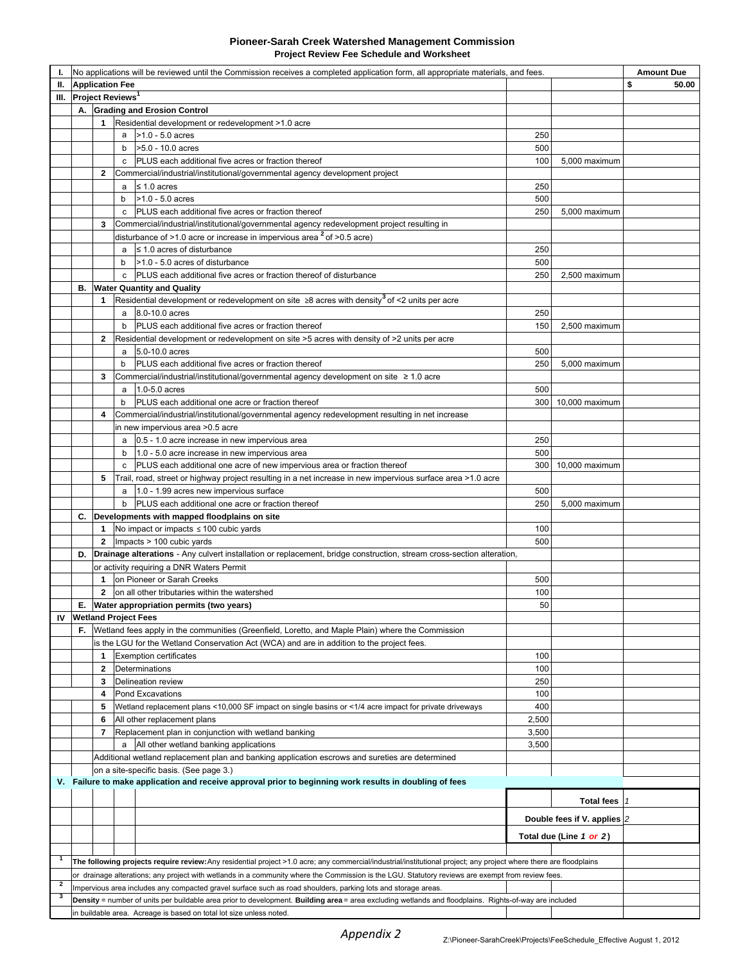#### **Pioneer-Sarah Creek Watershed Management Commission Project Review Fee Schedule and Worksheet**

|                              | No applications will be reviewed until the Commission receives a completed application form, all appropriate materials, and fees.                                  |                                                                                                               |   |                                                                                                                                                        |       |                             | <b>Amount Due</b> |
|------------------------------|--------------------------------------------------------------------------------------------------------------------------------------------------------------------|---------------------------------------------------------------------------------------------------------------|---|--------------------------------------------------------------------------------------------------------------------------------------------------------|-------|-----------------------------|-------------------|
| <b>Application Fee</b><br>Ш. |                                                                                                                                                                    |                                                                                                               |   |                                                                                                                                                        |       | \$<br>50.00                 |                   |
| Ш.                           | Project Reviews <sup>1</sup>                                                                                                                                       |                                                                                                               |   |                                                                                                                                                        |       |                             |                   |
|                              | А.                                                                                                                                                                 |                                                                                                               |   | <b>Grading and Erosion Control</b>                                                                                                                     |       |                             |                   |
|                              |                                                                                                                                                                    | 1                                                                                                             |   | Residential development or redevelopment >1.0 acre                                                                                                     |       |                             |                   |
|                              |                                                                                                                                                                    |                                                                                                               |   | $a$ > 1.0 - 5.0 acres                                                                                                                                  | 250   |                             |                   |
|                              |                                                                                                                                                                    |                                                                                                               | b | >5.0 - 10.0 acres                                                                                                                                      | 500   |                             |                   |
|                              |                                                                                                                                                                    |                                                                                                               | C | PLUS each additional five acres or fraction thereof                                                                                                    | 100   | 5,000 maximum               |                   |
|                              |                                                                                                                                                                    | $\mathbf{2}$                                                                                                  |   | Commercial/industrial/institutional/governmental agency development project                                                                            |       |                             |                   |
|                              |                                                                                                                                                                    |                                                                                                               |   | $a \leq 1.0$ acres                                                                                                                                     | 250   |                             |                   |
|                              |                                                                                                                                                                    |                                                                                                               | b | $>1.0 - 5.0$ acres                                                                                                                                     | 500   |                             |                   |
|                              |                                                                                                                                                                    |                                                                                                               |   | c   PLUS each additional five acres or fraction thereof                                                                                                | 250   | 5,000 maximum               |                   |
|                              |                                                                                                                                                                    | 3                                                                                                             |   | Commercial/industrial/institutional/governmental agency redevelopment project resulting in                                                             |       |                             |                   |
|                              |                                                                                                                                                                    |                                                                                                               |   | disturbance of >1.0 acre or increase in impervious area $2$ of >0.5 acre)                                                                              |       |                             |                   |
|                              |                                                                                                                                                                    |                                                                                                               | a | $\leq$ 1.0 acres of disturbance                                                                                                                        | 250   |                             |                   |
|                              |                                                                                                                                                                    |                                                                                                               | b | >1.0 - 5.0 acres of disturbance                                                                                                                        | 500   |                             |                   |
|                              | в.                                                                                                                                                                 |                                                                                                               | c | PLUS each additional five acres or fraction thereof of disturbance                                                                                     | 250   | 2,500 maximum               |                   |
|                              |                                                                                                                                                                    |                                                                                                               |   | <b>Water Quantity and Quality</b><br>Residential development or redevelopment on site $\geq 8$ acres with density <sup>3</sup> of <2 units per acre    |       |                             |                   |
|                              |                                                                                                                                                                    | 1                                                                                                             | a | 8.0-10.0 acres                                                                                                                                         | 250   |                             |                   |
|                              |                                                                                                                                                                    |                                                                                                               | b | PLUS each additional five acres or fraction thereof                                                                                                    | 150   | 2,500 maximum               |                   |
|                              |                                                                                                                                                                    | 2                                                                                                             |   | Residential development or redevelopment on site >5 acres with density of >2 units per acre                                                            |       |                             |                   |
|                              |                                                                                                                                                                    |                                                                                                               | a | 5.0-10.0 acres                                                                                                                                         | 500   |                             |                   |
|                              |                                                                                                                                                                    |                                                                                                               | b | PLUS each additional five acres or fraction thereof                                                                                                    | 250   | 5,000 maximum               |                   |
|                              |                                                                                                                                                                    | 3                                                                                                             |   | Commercial/industrial/institutional/governmental agency development on site $\geq 1.0$ acre                                                            |       |                             |                   |
|                              |                                                                                                                                                                    |                                                                                                               | a | 1.0-5.0 acres                                                                                                                                          | 500   |                             |                   |
|                              |                                                                                                                                                                    |                                                                                                               | b | <b>PLUS</b> each additional one acre or fraction thereof                                                                                               |       | 300 10,000 maximum          |                   |
|                              |                                                                                                                                                                    | 4                                                                                                             |   | Commercial/industrial/institutional/governmental agency redevelopment resulting in net increase                                                        |       |                             |                   |
|                              | in new impervious area >0.5 acre                                                                                                                                   |                                                                                                               |   |                                                                                                                                                        |       |                             |                   |
|                              |                                                                                                                                                                    |                                                                                                               | a | 0.5 - 1.0 acre increase in new impervious area                                                                                                         | 250   |                             |                   |
|                              |                                                                                                                                                                    |                                                                                                               | b | 1.0 - 5.0 acre increase in new impervious area                                                                                                         | 500   |                             |                   |
|                              |                                                                                                                                                                    |                                                                                                               | c | PLUS each additional one acre of new impervious area or fraction thereof                                                                               |       | 300 10,000 maximum          |                   |
|                              |                                                                                                                                                                    | 5                                                                                                             |   | Trail, road, street or highway project resulting in a net increase in new impervious surface area >1.0 acre                                            |       |                             |                   |
|                              |                                                                                                                                                                    |                                                                                                               | a | 1.0 - 1.99 acres new impervious surface                                                                                                                | 500   |                             |                   |
|                              |                                                                                                                                                                    |                                                                                                               | b | PLUS each additional one acre or fraction thereof                                                                                                      | 250   | 5,000 maximum               |                   |
|                              | C.                                                                                                                                                                 |                                                                                                               |   | Developments with mapped floodplains on site                                                                                                           |       |                             |                   |
|                              |                                                                                                                                                                    |                                                                                                               |   | 1 No impact or impacts $\leq 100$ cubic yards                                                                                                          | 100   |                             |                   |
|                              |                                                                                                                                                                    |                                                                                                               |   | 2   Impacts $> 100$ cubic yards                                                                                                                        | 500   |                             |                   |
|                              | Drainage alterations - Any culvert installation or replacement, bridge construction, stream cross-section alteration,<br>D.                                        |                                                                                                               |   |                                                                                                                                                        |       |                             |                   |
|                              | or activity requiring a DNR Waters Permit                                                                                                                          |                                                                                                               |   |                                                                                                                                                        |       |                             |                   |
|                              |                                                                                                                                                                    |                                                                                                               |   | 1 on Pioneer or Sarah Creeks                                                                                                                           | 500   |                             |                   |
|                              |                                                                                                                                                                    | $\mathbf{2}$                                                                                                  |   | on all other tributaries within the watershed                                                                                                          | 100   |                             |                   |
|                              | Е.                                                                                                                                                                 |                                                                                                               |   | Water appropriation permits (two years)                                                                                                                | 50    |                             |                   |
|                              | <b>IV</b> Wetland Project Fees                                                                                                                                     |                                                                                                               |   |                                                                                                                                                        |       |                             |                   |
|                              | F.<br>Wetland fees apply in the communities (Greenfield, Loretto, and Maple Plain) where the Commission                                                            |                                                                                                               |   |                                                                                                                                                        |       |                             |                   |
|                              | is the LGU for the Wetland Conservation Act (WCA) and are in addition to the project fees.                                                                         |                                                                                                               |   |                                                                                                                                                        |       |                             |                   |
|                              |                                                                                                                                                                    | 1                                                                                                             |   | <b>Exemption certificates</b>                                                                                                                          | 100   |                             |                   |
|                              |                                                                                                                                                                    | 2                                                                                                             |   | Determinations                                                                                                                                         | 100   |                             |                   |
|                              |                                                                                                                                                                    | 3                                                                                                             |   | Delineation review                                                                                                                                     | 250   |                             |                   |
|                              |                                                                                                                                                                    | 4                                                                                                             |   | Pond Excavations                                                                                                                                       | 100   |                             |                   |
|                              |                                                                                                                                                                    | 5                                                                                                             |   | Wetland replacement plans <10,000 SF impact on single basins or <1/4 acre impact for private driveways                                                 | 400   |                             |                   |
|                              |                                                                                                                                                                    | 6                                                                                                             |   | All other replacement plans                                                                                                                            | 2,500 |                             |                   |
|                              |                                                                                                                                                                    | 7                                                                                                             |   | Replacement plan in conjunction with wetland banking                                                                                                   | 3,500 |                             |                   |
|                              |                                                                                                                                                                    |                                                                                                               |   | a All other wetland banking applications                                                                                                               | 3,500 |                             |                   |
|                              |                                                                                                                                                                    |                                                                                                               |   | Additional wetland replacement plan and banking application escrows and sureties are determined                                                        |       |                             |                   |
|                              | on a site-specific basis. (See page 3.)                                                                                                                            |                                                                                                               |   |                                                                                                                                                        |       |                             |                   |
|                              | V. Failure to make application and receive approval prior to beginning work results in doubling of fees                                                            |                                                                                                               |   |                                                                                                                                                        |       |                             |                   |
|                              |                                                                                                                                                                    |                                                                                                               |   |                                                                                                                                                        |       | Total fees  1               |                   |
|                              |                                                                                                                                                                    |                                                                                                               |   |                                                                                                                                                        |       | Double fees if V. applies 2 |                   |
|                              |                                                                                                                                                                    |                                                                                                               |   |                                                                                                                                                        |       |                             |                   |
|                              |                                                                                                                                                                    |                                                                                                               |   |                                                                                                                                                        |       | Total due (Line 1 or 2)     |                   |
|                              |                                                                                                                                                                    |                                                                                                               |   |                                                                                                                                                        |       |                             |                   |
| $\mathbf{1}$                 | The following projects require review: Any residential project >1.0 acre; any commercial/industrial/institutional project; any project where there are floodplains |                                                                                                               |   |                                                                                                                                                        |       |                             |                   |
| $\overline{2}$               | or drainage alterations; any project with wetlands in a community where the Commission is the LGU. Statutory reviews are exempt from review fees.                  |                                                                                                               |   |                                                                                                                                                        |       |                             |                   |
| 3                            |                                                                                                                                                                    | Impervious area includes any compacted gravel surface such as road shoulders, parking lots and storage areas. |   |                                                                                                                                                        |       |                             |                   |
|                              |                                                                                                                                                                    |                                                                                                               |   | Density = number of units per buildable area prior to development. Building area = area excluding wetlands and floodplains. Rights-of-way are included |       |                             |                   |
|                              |                                                                                                                                                                    |                                                                                                               |   | in buildable area. Acreage is based on total lot size unless noted.                                                                                    |       |                             |                   |